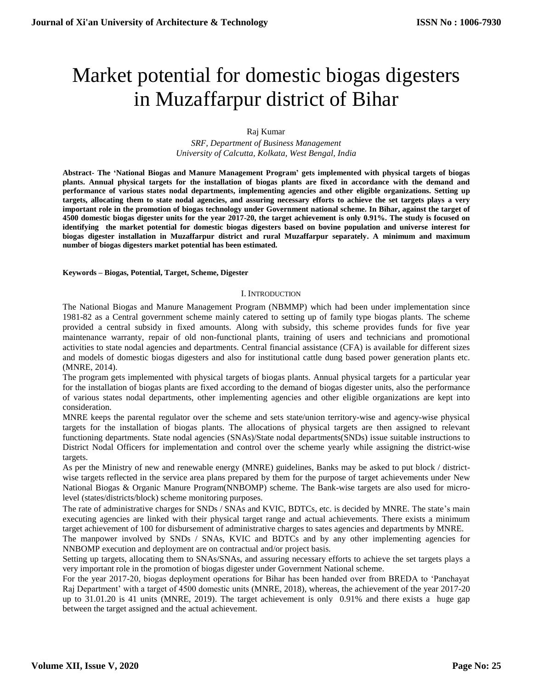# Market potential for domestic biogas digesters in Muzaffarpur district of Bihar

# Raj Kumar

*SRF, Department of Business Management University of Calcutta, Kolkata, West Bengal, India*

**Abstract- The 'National Biogas and Manure Management Program' gets implemented with physical targets of biogas plants. Annual physical targets for the installation of biogas plants are fixed in accordance with the demand and performance of various states nodal departments, implementing agencies and other eligible organizations. Setting up targets, allocating them to state nodal agencies, and assuring necessary efforts to achieve the set targets plays a very important role in the promotion of biogas technology under Government national scheme. In Bihar, against the target of 4500 domestic biogas digester units for the year 2017-20, the target achievement is only 0.91%. The study is focused on identifying the market potential for domestic biogas digesters based on bovine population and universe interest for biogas digester installation in Muzaffarpur district and rural Muzaffarpur separately. A minimum and maximum number of biogas digesters market potential has been estimated.**

**Keywords – Biogas, Potential, Target, Scheme, Digester**

#### I. INTRODUCTION

The National Biogas and Manure Management Program (NBMMP) which had been under implementation since 1981-82 as a Central government scheme mainly catered to setting up of family type biogas plants. The scheme provided a central subsidy in fixed amounts. Along with subsidy, this scheme provides funds for five year maintenance warranty, repair of old non-functional plants, training of users and technicians and promotional activities to state nodal agencies and departments. Central financial assistance (CFA) is available for different sizes and models of domestic biogas digesters and also for institutional cattle dung based power generation plants etc. (MNRE, 2014).

The program gets implemented with physical targets of biogas plants. Annual physical targets for a particular year for the installation of biogas plants are fixed according to the demand of biogas digester units, also the performance of various states nodal departments, other implementing agencies and other eligible organizations are kept into consideration.

MNRE keeps the parental regulator over the scheme and sets state/union territory-wise and agency-wise physical targets for the installation of biogas plants. The allocations of physical targets are then assigned to relevant functioning departments. State nodal agencies (SNAs)/State nodal departments(SNDs) issue suitable instructions to District Nodal Officers for implementation and control over the scheme yearly while assigning the district-wise targets.

As per the Ministry of new and renewable energy (MNRE) guidelines, Banks may be asked to put block / districtwise targets reflected in the service area plans prepared by them for the purpose of target achievements under New National Biogas & Organic Manure Program(NNBOMP) scheme. The Bank-wise targets are also used for microlevel (states/districts/block) scheme monitoring purposes.

The rate of administrative charges for SNDs / SNAs and KVIC, BDTCs, etc. is decided by MNRE. The state's main executing agencies are linked with their physical target range and actual achievements. There exists a minimum target achievement of 100 for disbursement of administrative charges to sates agencies and departments by MNRE.

The manpower involved by SNDs / SNAs, KVIC and BDTCs and by any other implementing agencies for NNBOMP execution and deployment are on contractual and/or project basis.

Setting up targets, allocating them to SNAs/SNAs, and assuring necessary efforts to achieve the set targets plays a very important role in the promotion of biogas digester under Government National scheme.

For the year 2017-20, biogas deployment operations for Bihar has been handed over from BREDA to 'Panchayat Raj Department' with a target of 4500 domestic units (MNRE, 2018), whereas, the achievement of the year 2017-20 up to 31.01.20 is 41 units (MNRE, 2019). The target achievement is only 0.91% and there exists a huge gap between the target assigned and the actual achievement.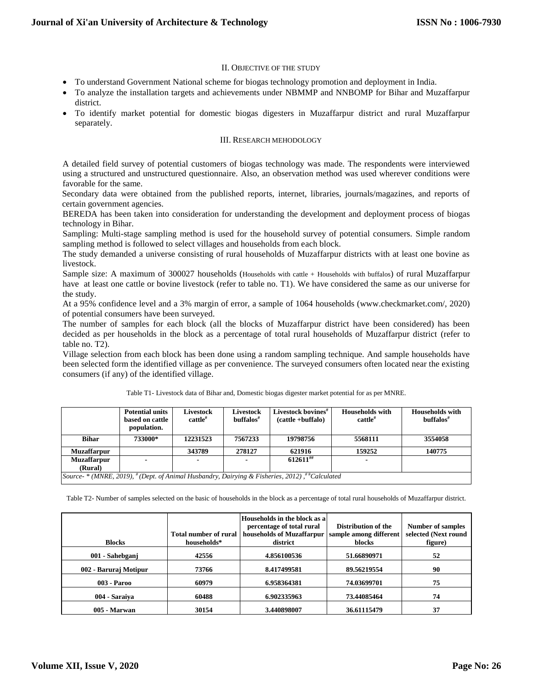#### II. OBJECTIVE OF THE STUDY

- To understand Government National scheme for biogas technology promotion and deployment in India.
- To analyze the installation targets and achievements under NBMMP and NNBOMP for Bihar and Muzaffarpur district.
- To identify market potential for domestic biogas digesters in Muzaffarpur district and rural Muzaffarpur separately.

#### III. RESEARCH MEHODOLOGY

A detailed field survey of potential customers of biogas technology was made. The respondents were interviewed using a structured and unstructured questionnaire. Also, an observation method was used wherever conditions were favorable for the same.

Secondary data were obtained from the published reports, internet, libraries, journals/magazines, and reports of certain government agencies.

BEREDA has been taken into consideration for understanding the development and deployment process of biogas technology in Bihar.

Sampling: Multi-stage sampling method is used for the household survey of potential consumers. Simple random sampling method is followed to select villages and households from each block.

The study demanded a universe consisting of rural households of Muzaffarpur districts with at least one bovine as livestock.

Sample size: A maximum of 300027 households (Households with cattle + Households with buffalos) of rural Muzaffarpur have at least one cattle or bovine livestock (refer to table no. T1). We have considered the same as our universe for the study.

At a 95% confidence level and a 3% margin of error, a sample of 1064 households (www.checkmarket.com/, 2020) of potential consumers have been surveyed.

The number of samples for each block (all the blocks of Muzaffarpur district have been considered) has been decided as per households in the block as a percentage of total rural households of Muzaffarpur district (refer to table no. T2).

Village selection from each block has been done using a random sampling technique. And sample households have been selected form the identified village as per convenience. The surveyed consumers often located near the existing consumers (if any) of the identified village.

|                                                                                                             | <b>Potential units</b><br>based on cattle<br>population. | Livestock<br>$c$ attle <sup>#</sup> | <b>Livestock</b><br>$\textbf{buffalos}^{\#}$ | Livestock bovines <sup>#</sup><br>$(cattle + buffer$ | <b>Households with</b><br>$c$ attle $#$ | <b>Households with</b><br>$\textbf{buffalos}^*$ |
|-------------------------------------------------------------------------------------------------------------|----------------------------------------------------------|-------------------------------------|----------------------------------------------|------------------------------------------------------|-----------------------------------------|-------------------------------------------------|
| <b>Bihar</b>                                                                                                | 733000*                                                  | 12231523                            | 7567233                                      | 19798756                                             | 5568111                                 | 3554058                                         |
| <b>Muzaffarpur</b>                                                                                          |                                                          | 343789                              | 278127                                       | 621916                                               | 159252                                  | 140775                                          |
| <b>Muzaffarpur</b>                                                                                          |                                                          |                                     |                                              | $612611^{#}$                                         |                                         |                                                 |
| (Rural)                                                                                                     |                                                          |                                     |                                              |                                                      |                                         |                                                 |
| Source- * (MNRE, 2019), $^{\#}$ (Dept. of Animal Husbandry, Dairying & Fisheries, 2012), $^{\#}$ Calculated |                                                          |                                     |                                              |                                                      |                                         |                                                 |

Table T1- Livestock data of Bihar and, Domestic biogas digester market potential for as per MNRE.

Table T2- Number of samples selected on the basic of households in the block as a percentage of total rural households of Muzaffarpur district.

|                       |                       | Households in the block as a |                        |                      |
|-----------------------|-----------------------|------------------------------|------------------------|----------------------|
|                       |                       | percentage of total rural    | Distribution of the    | Number of samples    |
|                       | Total number of rural | households of Muzaffarpur    | sample among different | selected (Next round |
| <b>Blocks</b>         | households*           | district                     | <b>blocks</b>          | figure)              |
| 001 - Sahebganj       | 42556                 | 4.856100536                  | 51.66890971            | 52                   |
| 002 - Baruraj Motipur | 73766                 | 8.417499581                  | 89.56219554            | 90                   |
| $003 - Par00$         | 60979                 | 6.958364381                  | 74.03699701            | 75                   |
| 004 - Saraiya         | 60488                 | 6.902335963                  | 73.44085464            | 74                   |
| 005 - Marwan          | 30154                 | 3.440898007                  | 36.61115479            | 37                   |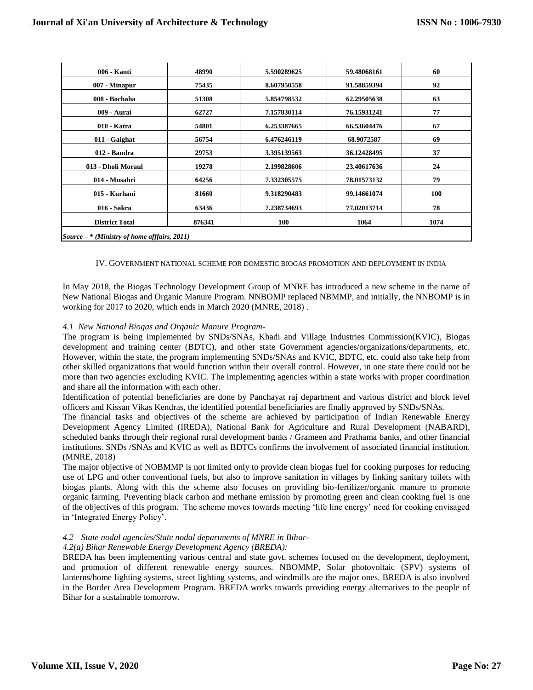| 006 - Kanti                                    | 48990  | 5.590289625 | 59.48068161 | 60   |
|------------------------------------------------|--------|-------------|-------------|------|
| 007 - Minapur                                  | 75435  | 8.607950558 | 91.58859394 | 92   |
| 008 - Bochaha                                  | 51308  | 5.854798532 | 62.29505638 | 63   |
| 009 - Aurai                                    | 62727  | 7.157830114 | 76.15931241 | 77   |
| 010 - Katra                                    | 54801  | 6.253387665 | 66.53604476 | 67   |
| 011 - Gaighat                                  | 56754  | 6.476246119 | 68.9072587  | 69   |
| 012 - Bandra                                   | 29753  | 3.395139563 | 36.12428495 | 37   |
| 013 - Dholi Moraul                             | 19278  | 2.199828606 | 23.40617636 | 24   |
| 014 - Musahri                                  | 64256  | 7.332305575 | 78.01573132 | 79   |
| 015 - Kurhani                                  | 81660  | 9.318290483 | 99.14661074 | 100  |
| 016 - Sakra                                    | 63436  | 7.238734693 | 77.02013714 | 78   |
|                                                |        |             |             |      |
| <b>District Total</b>                          | 876341 | 100         | 1064        | 1074 |
| Source $-$ * (Ministry of home afffairs, 2011) |        |             |             |      |

IV. GOVERNMENT NATIONAL SCHEME FOR DOMESTIC BIOGAS PROMOTION AND DEPLOYMENT IN INDIA

In May 2018, the Biogas Technology Development Group of MNRE has introduced a new scheme in the name of New National Biogas and Organic Manure Program. NNBOMP replaced NBMMP, and initially, the NNBOMP is in working for 2017 to 2020, which ends in March 2020 (MNRE, 2018) .

# *4.1 New National Biogas and Organic Manure Program-*

The program is being implemented by SNDs/SNAs, Khadi and Village Industries Commission(KVIC), Biogas development and training center (BDTC), and other state Government agencies/organizations/departments, etc. However, within the state, the program implementing SNDs/SNAs and KVIC, BDTC, etc. could also take help from other skilled organizations that would function within their overall control. However, in one state there could not be more than two agencies excluding KVIC. The implementing agencies within a state works with proper coordination and share all the information with each other.

Identification of potential beneficiaries are done by Panchayat raj department and various district and block level officers and Kissan Vikas Kendras, the identified potential beneficiaries are finally approved by SNDs/SNAs.

The financial tasks and objectives of the scheme are achieved by participation of Indian Renewable Energy Development Agency Limited (IREDA), National Bank for Agriculture and Rural Development (NABARD), scheduled banks through their regional rural development banks / Grameen and Prathama banks, and other financial institutions. SNDs /SNAs and KVIC as well as BDTCs confirms the involvement of associated financial institution. (MNRE, 2018)

The major objective of NOBMMP is not limited only to provide clean biogas fuel for cooking purposes for reducing use of LPG and other conventional fuels, but also to improve sanitation in villages by linking sanitary toilets with biogas plants. Along with this the scheme also focuses on providing bio-fertilizer/organic manure to promote organic farming. Preventing black carbon and methane emission by promoting green and clean cooking fuel is one of the objectives of this program. The scheme moves towards meeting 'life line energy' need for cooking envisaged in 'Integrated Energy Policy'.

# *4.2 State nodal agencies/State nodal departments of MNRE in Bihar-*

#### *4.2(a) Bihar Renewable Energy Development Agency (BREDA):*

BREDA has been implementing various central and state govt. schemes focused on the development, deployment, and promotion of different renewable energy sources. NBOMMP, Solar photovoltaic (SPV) systems of lanterns/home lighting systems, street lighting systems, and windmills are the major ones. BREDA is also involved in the Border Area Development Program. BREDA works towards providing energy alternatives to the people of Bihar for a sustainable tomorrow.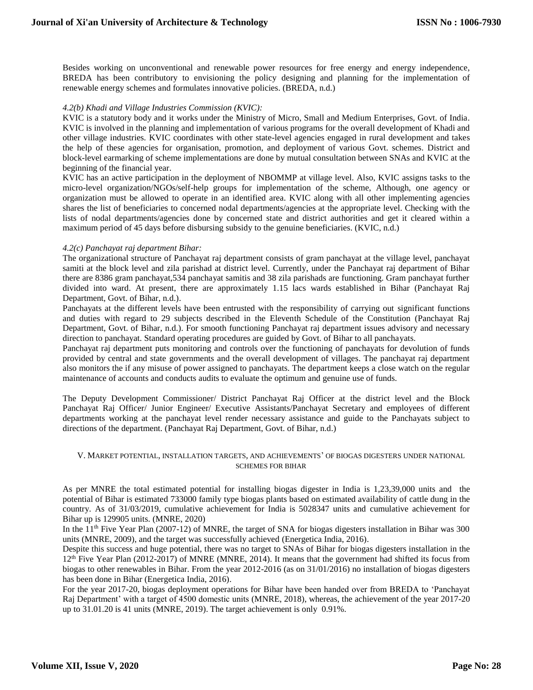Besides working on unconventional and renewable power resources for free energy and energy independence, BREDA has been contributory to envisioning the policy designing and planning for the implementation of renewable energy schemes and formulates innovative policies. (BREDA, n.d.)

# *4.2(b) Khadi and Village Industries Commission (KVIC):*

KVIC is a statutory body and it works under the Ministry of Micro, Small and Medium Enterprises, Govt. of India. KVIC is involved in the planning and implementation of various programs for the overall development of Khadi and other village industries. KVIC coordinates with other state-level agencies engaged in rural development and takes the help of these agencies for organisation, promotion, and deployment of various Govt. schemes. District and block-level earmarking of scheme implementations are done by mutual consultation between SNAs and KVIC at the beginning of the financial year.

KVIC has an active participation in the deployment of NBOMMP at village level. Also, KVIC assigns tasks to the micro-level organization/NGOs/self-help groups for implementation of the scheme, Although, one agency or organization must be allowed to operate in an identified area. KVIC along with all other implementing agencies shares the list of beneficiaries to concerned nodal departments/agencies at the appropriate level. Checking with the lists of nodal departments/agencies done by concerned state and district authorities and get it cleared within a maximum period of 45 days before disbursing subsidy to the genuine beneficiaries. (KVIC, n.d.)

#### *4.2(c) Panchayat raj department Bihar:*

The organizational structure of Panchayat raj department consists of gram panchayat at the village level, panchayat samiti at the block level and zila parishad at district level. Currently, under the Panchayat raj department of Bihar there are 8386 gram panchayat,534 panchayat samitis and 38 zila parishads are functioning. Gram panchayat further divided into ward. At present, there are approximately 1.15 lacs wards established in Bihar (Panchayat Raj Department, Govt. of Bihar, n.d.).

Panchayats at the different levels have been entrusted with the responsibility of carrying out significant functions and duties with regard to 29 subjects described in the Eleventh Schedule of the Constitution (Panchayat Raj Department, Govt. of Bihar, n.d.). For smooth functioning Panchayat raj department issues advisory and necessary direction to panchayat. Standard operating procedures are guided by Govt. of Bihar to all panchayats.

Panchayat raj department puts monitoring and controls over the functioning of panchayats for devolution of funds provided by central and state governments and the overall development of villages. The panchayat raj department also monitors the if any misuse of power assigned to panchayats. The department keeps a close watch on the regular maintenance of accounts and conducts audits to evaluate the optimum and genuine use of funds.

The Deputy Development Commissioner/ District Panchayat Raj Officer at the district level and the Block Panchayat Raj Officer/ Junior Engineer/ Executive Assistants/Panchayat Secretary and employees of different departments working at the panchayat level render necessary assistance and guide to the Panchayats subject to directions of the department. (Panchayat Raj Department, Govt. of Bihar, n.d.)

#### V. MARKET POTENTIAL, INSTALLATION TARGETS, AND ACHIEVEMENTS' OF BIOGAS DIGESTERS UNDER NATIONAL SCHEMES FOR BIHAR

As per MNRE the total estimated potential for installing biogas digester in India is 1,23,39,000 units and the potential of Bihar is estimated 733000 family type biogas plants based on estimated availability of cattle dung in the country. As of 31/03/2019, cumulative achievement for India is 5028347 units and cumulative achievement for Bihar up is 129905 units. (MNRE, 2020)

In the  $11<sup>th</sup>$  Five Year Plan (2007-12) of MNRE, the target of SNA for biogas digesters installation in Bihar was 300 units (MNRE, 2009), and the target was successfully achieved (Energetica India, 2016).

Despite this success and huge potential, there was no target to SNAs of Bihar for biogas digesters installation in the 12th Five Year Plan (2012-2017) of MNRE (MNRE, 2014). It means that the government had shifted its focus from biogas to other renewables in Bihar. From the year 2012-2016 (as on 31/01/2016) no installation of biogas digesters has been done in Bihar (Energetica India, 2016).

For the year 2017-20, biogas deployment operations for Bihar have been handed over from BREDA to 'Panchayat Raj Department' with a target of 4500 domestic units (MNRE, 2018), whereas, the achievement of the year 2017-20 up to 31.01.20 is 41 units (MNRE, 2019). The target achievement is only 0.91%.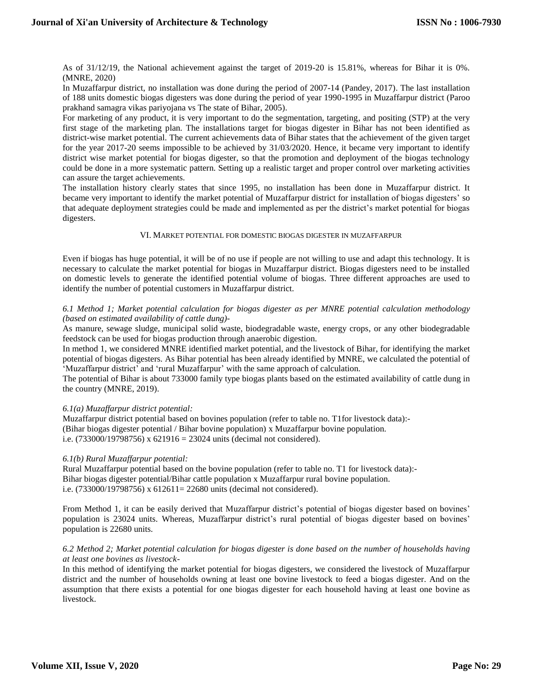As of 31/12/19, the National achievement against the target of 2019-20 is 15.81%, whereas for Bihar it is 0%. (MNRE, 2020)

In Muzaffarpur district, no installation was done during the period of 2007-14 (Pandey, 2017). The last installation of 188 units domestic biogas digesters was done during the period of year 1990-1995 in Muzaffarpur district (Paroo prakhand samagra vikas pariyojana vs The state of Bihar, 2005).

For marketing of any product, it is very important to do the segmentation, targeting, and positing (STP) at the very first stage of the marketing plan. The installations target for biogas digester in Bihar has not been identified as district-wise market potential. The current achievements data of Bihar states that the achievement of the given target for the year 2017-20 seems impossible to be achieved by 31/03/2020. Hence, it became very important to identify district wise market potential for biogas digester, so that the promotion and deployment of the biogas technology could be done in a more systematic pattern. Setting up a realistic target and proper control over marketing activities can assure the target achievements.

The installation history clearly states that since 1995, no installation has been done in Muzaffarpur district. It became very important to identify the market potential of Muzaffarpur district for installation of biogas digesters' so that adequate deployment strategies could be made and implemented as per the district's market potential for biogas digesters.

# VI. MARKET POTENTIAL FOR DOMESTIC BIOGAS DIGESTER IN MUZAFFARPUR

Even if biogas has huge potential, it will be of no use if people are not willing to use and adapt this technology. It is necessary to calculate the market potential for biogas in Muzaffarpur district. Biogas digesters need to be installed on domestic levels to generate the identified potential volume of biogas. Three different approaches are used to identify the number of potential customers in Muzaffarpur district.

# *6.1 Method 1; Market potential calculation for biogas digester as per MNRE potential calculation methodology (based on estimated availability of cattle dung)-*

As manure, sewage sludge, municipal solid waste, biodegradable waste, energy crops, or any other biodegradable feedstock can be used for biogas production through anaerobic digestion.

In method 1, we considered MNRE identified market potential, and the livestock of Bihar, for identifying the market potential of biogas digesters. As Bihar potential has been already identified by MNRE, we calculated the potential of 'Muzaffarpur district' and 'rural Muzaffarpur' with the same approach of calculation.

The potential of Bihar is about 733000 family type biogas plants based on the estimated availability of cattle dung in the country (MNRE, 2019).

# *6.1(a) Muzaffarpur district potential:*

Muzaffarpur district potential based on bovines population (refer to table no. T1for livestock data):- (Bihar biogas digester potential / Bihar bovine population) x Muzaffarpur bovine population. i.e. (733000/19798756) x 621916 = 23024 units (decimal not considered).

#### *6.1(b) Rural Muzaffarpur potential:*

Rural Muzaffarpur potential based on the bovine population (refer to table no. T1 for livestock data):- Bihar biogas digester potential/Bihar cattle population x Muzaffarpur rural bovine population. i.e. (733000/19798756) x 612611= 22680 units (decimal not considered).

From Method 1, it can be easily derived that Muzaffarpur district's potential of biogas digester based on bovines' population is 23024 units. Whereas, Muzaffarpur district's rural potential of biogas digester based on bovines' population is 22680 units.

# *6.2 Method 2; Market potential calculation for biogas digester is done based on the number of households having at least one bovines as livestock-*

In this method of identifying the market potential for biogas digesters, we considered the livestock of Muzaffarpur district and the number of households owning at least one bovine livestock to feed a biogas digester. And on the assumption that there exists a potential for one biogas digester for each household having at least one bovine as livestock.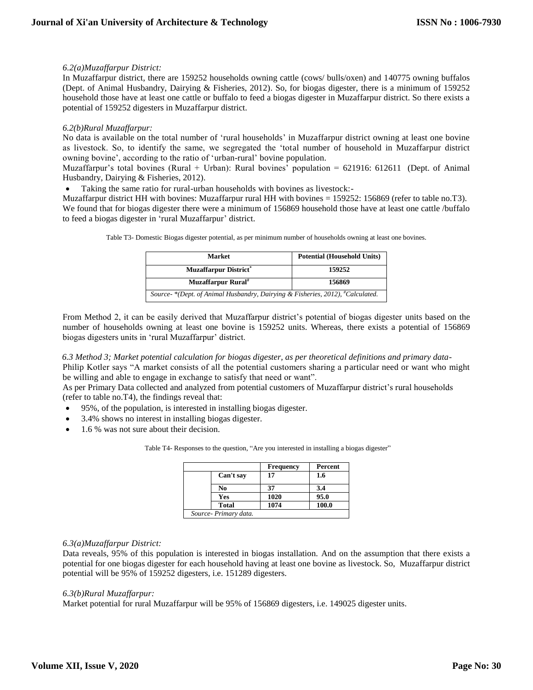# *6.2(a)Muzaffarpur District:*

In Muzaffarpur district, there are 159252 households owning cattle (cows/ bulls/oxen) and 140775 owning buffalos (Dept. of Animal Husbandry, Dairying & Fisheries, 2012). So, for biogas digester, there is a minimum of 159252 household those have at least one cattle or buffalo to feed a biogas digester in Muzaffarpur district. So there exists a potential of 159252 digesters in Muzaffarpur district.

# *6.2(b)Rural Muzaffarpur:*

No data is available on the total number of 'rural households' in Muzaffarpur district owning at least one bovine as livestock. So, to identify the same, we segregated the 'total number of household in Muzaffarpur district owning bovine', according to the ratio of 'urban-rural' bovine population.

Muzaffarpur's total bovines (Rural + Urban): Rural bovines' population = 621916: 612611 (Dept. of Animal Husbandry, Dairying & Fisheries, 2012).

Taking the same ratio for rural-urban households with bovines as livestock:-

Muzaffarpur district HH with bovines: Muzaffarpur rural HH with bovines = 159252: 156869 (refer to table no.T3). We found that for biogas digester there were a minimum of 156869 household those have at least one cattle /buffalo to feed a biogas digester in 'rural Muzaffarpur' district.

|  |  | Table T3- Domestic Biogas digester potential, as per minimum number of households owning at least one bovines. |  |
|--|--|----------------------------------------------------------------------------------------------------------------|--|
|  |  |                                                                                                                |  |

| <b>Market</b>                                                                 | <b>Potential (Household Units)</b> |  |
|-------------------------------------------------------------------------------|------------------------------------|--|
| <b>Muzaffarpur District*</b>                                                  | 159252                             |  |
| Muzaffarpur Rural <sup>#</sup>                                                | 156869                             |  |
| Source-*(Dept. of Animal Husbandry, Dairying & Fisheries, 2012), #Calculated. |                                    |  |

From Method 2, it can be easily derived that Muzaffarpur district's potential of biogas digester units based on the number of households owning at least one bovine is 159252 units. Whereas, there exists a potential of 156869 biogas digesters units in 'rural Muzaffarpur' district.

*6.3 Method 3; Market potential calculation for biogas digester, as per theoretical definitions and primary data-*

Philip Kotler says "A market consists of all the potential customers sharing a particular need or want who might be willing and able to engage in exchange to satisfy that need or want".

As per Primary Data collected and analyzed from potential customers of Muzaffarpur district's rural households (refer to table no.T4), the findings reveal that:

- 95%, of the population, is interested in installing biogas digester.
- 3.4% shows no interest in installing biogas digester.
- 1.6 % was not sure about their decision.

Table T4- Responses to the question, "Are you interested in installing a biogas digester"

|                       | <b>Frequency</b> | Percent |
|-----------------------|------------------|---------|
| Can't say             | 17               | 1.6     |
| No                    | 37               | 3.4     |
| Yes                   | 1020             | 95.0    |
| <b>Total</b>          | 1074             | 100.0   |
| Source- Primary data. |                  |         |

# *6.3(a)Muzaffarpur District:*

Data reveals, 95% of this population is interested in biogas installation. And on the assumption that there exists a potential for one biogas digester for each household having at least one bovine as livestock. So, Muzaffarpur district potential will be 95% of 159252 digesters, i.e. 151289 digesters.

#### *6.3(b)Rural Muzaffarpur:*

Market potential for rural Muzaffarpur will be 95% of 156869 digesters, i.e. 149025 digester units.